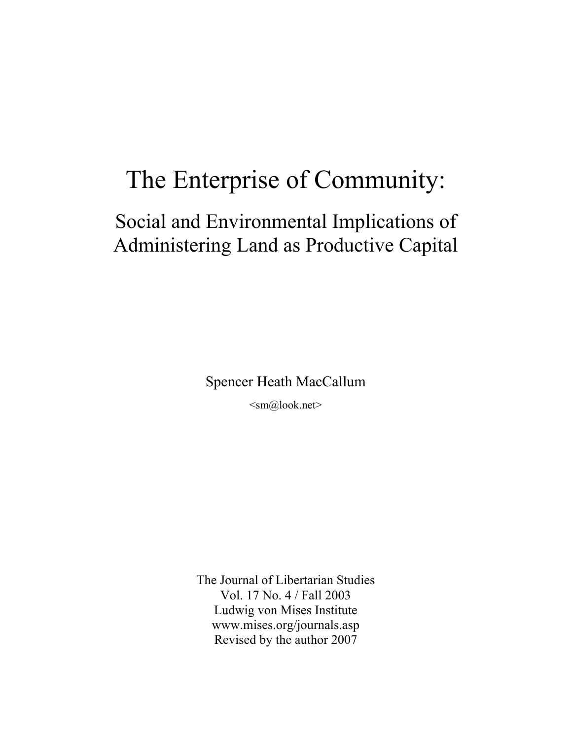# The Enterprise of Community:

# Social and Environmental Implications of Administering Land as Productive Capital

Spencer Heath MacCallum

<sm@look.net>

The Journal of Libertarian Studies Vol. 17 No. 4 / Fall 2003 Ludwig von Mises Institute www.mises.org/journals.asp Revised by the author 2007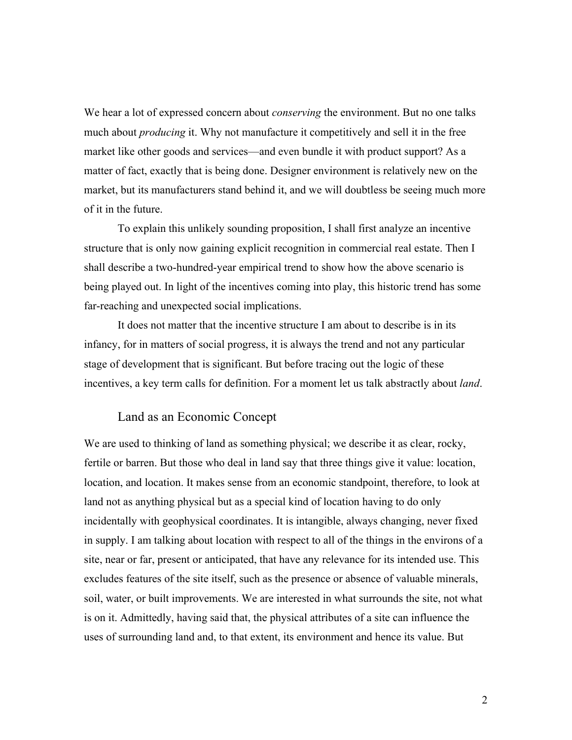We hear a lot of expressed concern about *conserving* the environment. But no one talks much about *producing* it. Why not manufacture it competitively and sell it in the free market like other goods and services—and even bundle it with product support? As a matter of fact, exactly that is being done. Designer environment is relatively new on the market, but its manufacturers stand behind it, and we will doubtless be seeing much more of it in the future.

To explain this unlikely sounding proposition, I shall first analyze an incentive structure that is only now gaining explicit recognition in commercial real estate. Then I shall describe a two-hundred-year empirical trend to show how the above scenario is being played out. In light of the incentives coming into play, this historic trend has some far-reaching and unexpected social implications.

It does not matter that the incentive structure I am about to describe is in its infancy, for in matters of social progress, it is always the trend and not any particular stage of development that is significant. But before tracing out the logic of these incentives, a key term calls for definition. For a moment let us talk abstractly about *land*.

## Land as an Economic Concept

We are used to thinking of land as something physical; we describe it as clear, rocky, fertile or barren. But those who deal in land say that three things give it value: location, location, and location. It makes sense from an economic standpoint, therefore, to look at land not as anything physical but as a special kind of location having to do only incidentally with geophysical coordinates. It is intangible, always changing, never fixed in supply. I am talking about location with respect to all of the things in the environs of a site, near or far, present or anticipated, that have any relevance for its intended use. This excludes features of the site itself, such as the presence or absence of valuable minerals, soil, water, or built improvements. We are interested in what surrounds the site, not what is on it. Admittedly, having said that, the physical attributes of a site can influence the uses of surrounding land and, to that extent, its environment and hence its value. But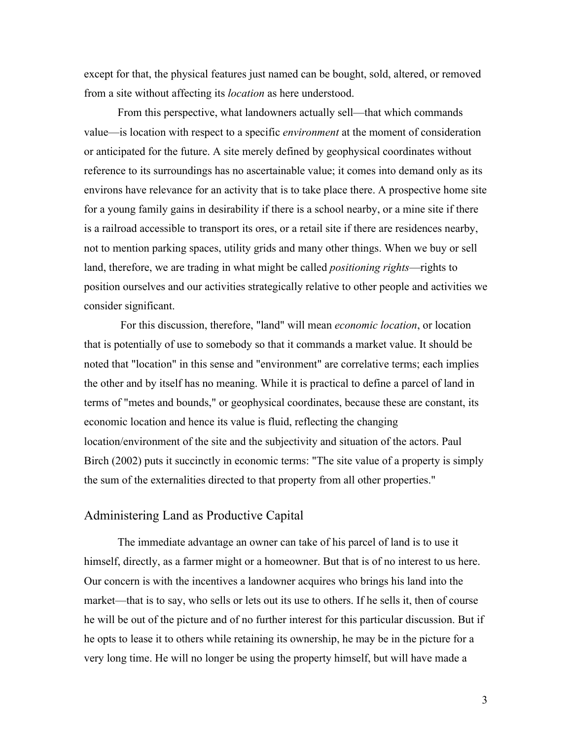except for that, the physical features just named can be bought, sold, altered, or removed from a site without affecting its *location* as here understood.

From this perspective, what landowners actually sell—that which commands value—is location with respect to a specific *environment* at the moment of consideration or anticipated for the future. A site merely defined by geophysical coordinates without reference to its surroundings has no ascertainable value; it comes into demand only as its environs have relevance for an activity that is to take place there. A prospective home site for a young family gains in desirability if there is a school nearby, or a mine site if there is a railroad accessible to transport its ores, or a retail site if there are residences nearby, not to mention parking spaces, utility grids and many other things. When we buy or sell land, therefore, we are trading in what might be called *positioning rights*—rights to position ourselves and our activities strategically relative to other people and activities we consider significant.

 For this discussion, therefore, "land" will mean *economic location*, or location that is potentially of use to somebody so that it commands a market value. It should be noted that "location" in this sense and "environment" are correlative terms; each implies the other and by itself has no meaning. While it is practical to define a parcel of land in terms of "metes and bounds," or geophysical coordinates, because these are constant, its economic location and hence its value is fluid, reflecting the changing location/environment of the site and the subjectivity and situation of the actors. Paul Birch (2002) puts it succinctly in economic terms: "The site value of a property is simply the sum of the externalities directed to that property from all other properties."

# Administering Land as Productive Capital

The immediate advantage an owner can take of his parcel of land is to use it himself, directly, as a farmer might or a homeowner. But that is of no interest to us here. Our concern is with the incentives a landowner acquires who brings his land into the market—that is to say, who sells or lets out its use to others. If he sells it, then of course he will be out of the picture and of no further interest for this particular discussion. But if he opts to lease it to others while retaining its ownership, he may be in the picture for a very long time. He will no longer be using the property himself, but will have made a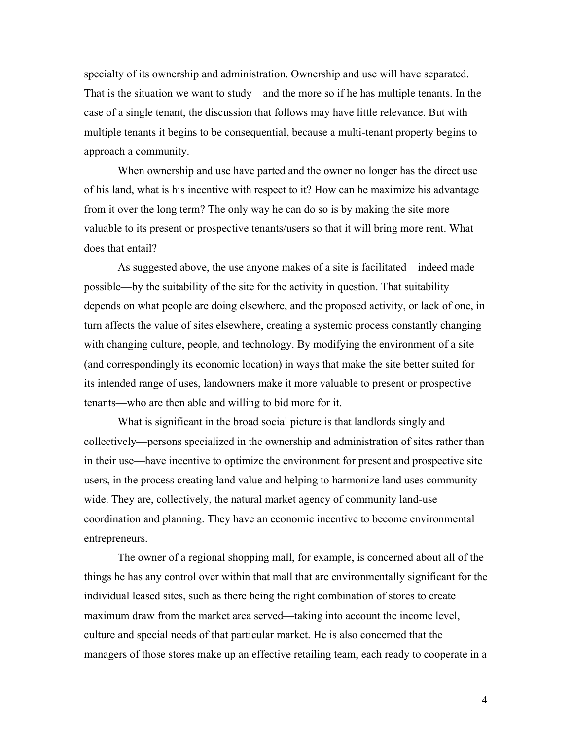specialty of its ownership and administration. Ownership and use will have separated. That is the situation we want to study—and the more so if he has multiple tenants. In the case of a single tenant, the discussion that follows may have little relevance. But with multiple tenants it begins to be consequential, because a multi-tenant property begins to approach a community.

When ownership and use have parted and the owner no longer has the direct use of his land, what is his incentive with respect to it? How can he maximize his advantage from it over the long term? The only way he can do so is by making the site more valuable to its present or prospective tenants/users so that it will bring more rent. What does that entail?

As suggested above, the use anyone makes of a site is facilitated—indeed made possible—by the suitability of the site for the activity in question. That suitability depends on what people are doing elsewhere, and the proposed activity, or lack of one, in turn affects the value of sites elsewhere, creating a systemic process constantly changing with changing culture, people, and technology. By modifying the environment of a site (and correspondingly its economic location) in ways that make the site better suited for its intended range of uses, landowners make it more valuable to present or prospective tenants—who are then able and willing to bid more for it.

What is significant in the broad social picture is that landlords singly and collectively—persons specialized in the ownership and administration of sites rather than in their use—have incentive to optimize the environment for present and prospective site users, in the process creating land value and helping to harmonize land uses communitywide. They are, collectively, the natural market agency of community land-use coordination and planning. They have an economic incentive to become environmental entrepreneurs.

The owner of a regional shopping mall, for example, is concerned about all of the things he has any control over within that mall that are environmentally significant for the individual leased sites, such as there being the right combination of stores to create maximum draw from the market area served—taking into account the income level, culture and special needs of that particular market. He is also concerned that the managers of those stores make up an effective retailing team, each ready to cooperate in a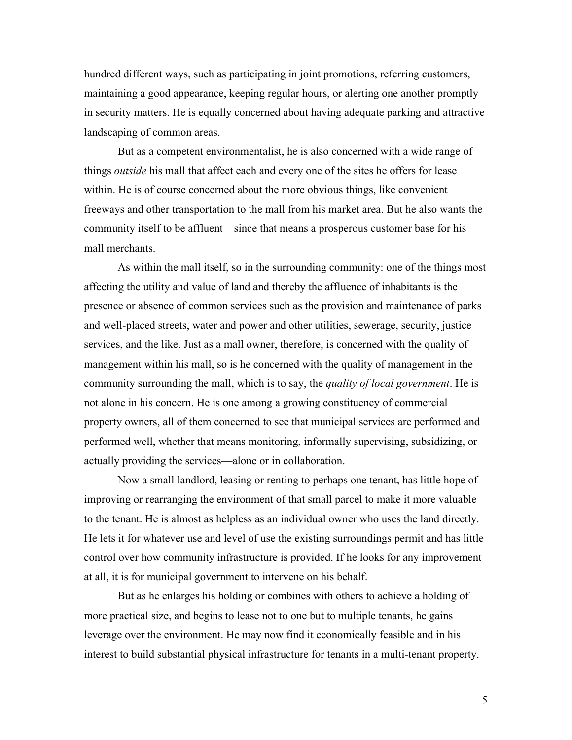hundred different ways, such as participating in joint promotions, referring customers, maintaining a good appearance, keeping regular hours, or alerting one another promptly in security matters. He is equally concerned about having adequate parking and attractive landscaping of common areas.

But as a competent environmentalist, he is also concerned with a wide range of things *outside* his mall that affect each and every one of the sites he offers for lease within. He is of course concerned about the more obvious things, like convenient freeways and other transportation to the mall from his market area. But he also wants the community itself to be affluent—since that means a prosperous customer base for his mall merchants.

As within the mall itself, so in the surrounding community: one of the things most affecting the utility and value of land and thereby the affluence of inhabitants is the presence or absence of common services such as the provision and maintenance of parks and well-placed streets, water and power and other utilities, sewerage, security, justice services, and the like. Just as a mall owner, therefore, is concerned with the quality of management within his mall, so is he concerned with the quality of management in the community surrounding the mall, which is to say, the *quality of local government*. He is not alone in his concern. He is one among a growing constituency of commercial property owners, all of them concerned to see that municipal services are performed and performed well, whether that means monitoring, informally supervising, subsidizing, or actually providing the services—alone or in collaboration.

Now a small landlord, leasing or renting to perhaps one tenant, has little hope of improving or rearranging the environment of that small parcel to make it more valuable to the tenant. He is almost as helpless as an individual owner who uses the land directly. He lets it for whatever use and level of use the existing surroundings permit and has little control over how community infrastructure is provided. If he looks for any improvement at all, it is for municipal government to intervene on his behalf.

But as he enlarges his holding or combines with others to achieve a holding of more practical size, and begins to lease not to one but to multiple tenants, he gains leverage over the environment. He may now find it economically feasible and in his interest to build substantial physical infrastructure for tenants in a multi-tenant property.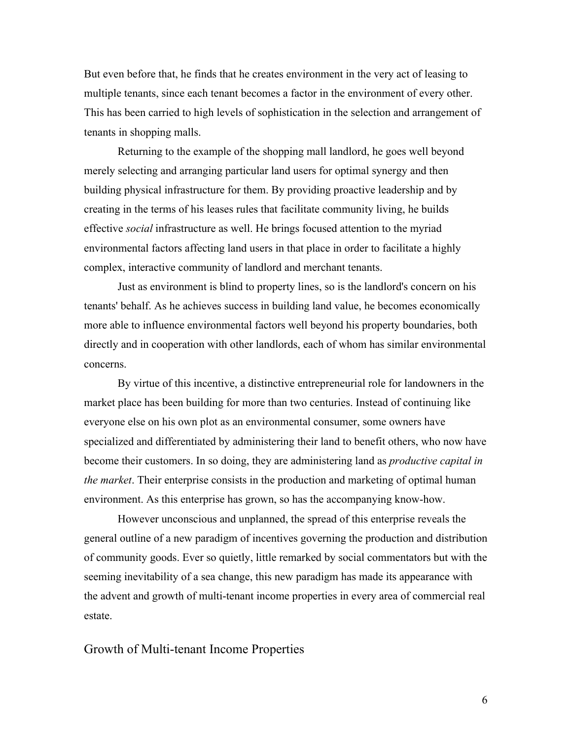But even before that, he finds that he creates environment in the very act of leasing to multiple tenants, since each tenant becomes a factor in the environment of every other. This has been carried to high levels of sophistication in the selection and arrangement of tenants in shopping malls.

Returning to the example of the shopping mall landlord, he goes well beyond merely selecting and arranging particular land users for optimal synergy and then building physical infrastructure for them. By providing proactive leadership and by creating in the terms of his leases rules that facilitate community living, he builds effective *social* infrastructure as well. He brings focused attention to the myriad environmental factors affecting land users in that place in order to facilitate a highly complex, interactive community of landlord and merchant tenants.

Just as environment is blind to property lines, so is the landlord's concern on his tenants' behalf. As he achieves success in building land value, he becomes economically more able to influence environmental factors well beyond his property boundaries, both directly and in cooperation with other landlords, each of whom has similar environmental concerns.

By virtue of this incentive, a distinctive entrepreneurial role for landowners in the market place has been building for more than two centuries. Instead of continuing like everyone else on his own plot as an environmental consumer, some owners have specialized and differentiated by administering their land to benefit others, who now have become their customers. In so doing, they are administering land as *productive capital in the market*. Their enterprise consists in the production and marketing of optimal human environment. As this enterprise has grown, so has the accompanying know-how.

However unconscious and unplanned, the spread of this enterprise reveals the general outline of a new paradigm of incentives governing the production and distribution of community goods. Ever so quietly, little remarked by social commentators but with the seeming inevitability of a sea change, this new paradigm has made its appearance with the advent and growth of multi-tenant income properties in every area of commercial real estate.

## Growth of Multi-tenant Income Properties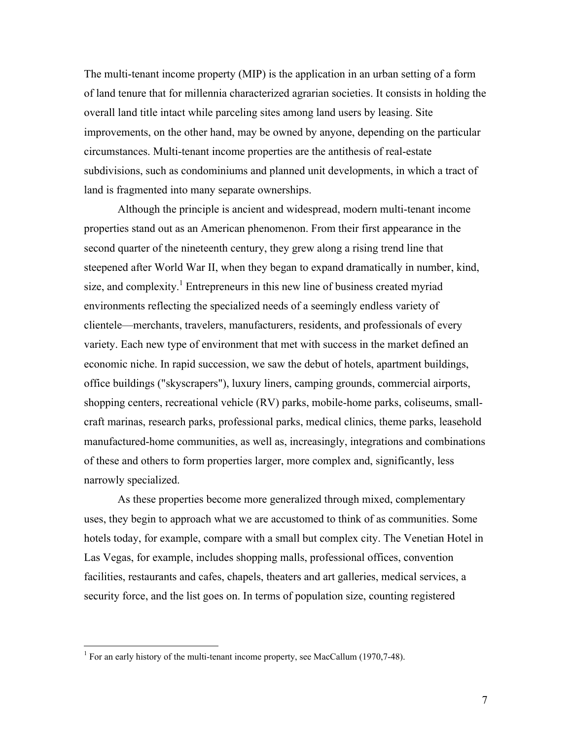The multi-tenant income property (MIP) is the application in an urban setting of a form of land tenure that for millennia characterized agrarian societies. It consists in holding the overall land title intact while parceling sites among land users by leasing. Site improvements, on the other hand, may be owned by anyone, depending on the particular circumstances. Multi-tenant income properties are the antithesis of real-estate subdivisions, such as condominiums and planned unit developments, in which a tract of land is fragmented into many separate ownerships.

Although the principle is ancient and widespread, modern multi-tenant income properties stand out as an American phenomenon. From their first appearance in the second quarter of the nineteenth century, they grew along a rising trend line that steepened after World War II, when they began to expand dramatically in number, kind, size, and complexity.<sup>1</sup> Entrepreneurs in this new line of business created myriad environments reflecting the specialized needs of a seemingly endless variety of clientele—merchants, travelers, manufacturers, residents, and professionals of every variety. Each new type of environment that met with success in the market defined an economic niche. In rapid succession, we saw the debut of hotels, apartment buildings, office buildings ("skyscrapers"), luxury liners, camping grounds, commercial airports, shopping centers, recreational vehicle (RV) parks, mobile-home parks, coliseums, smallcraft marinas, research parks, professional parks, medical clinics, theme parks, leasehold manufactured-home communities, as well as, increasingly, integrations and combinations of these and others to form properties larger, more complex and, significantly, less narrowly specialized.

As these properties become more generalized through mixed, complementary uses, they begin to approach what we are accustomed to think of as communities. Some hotels today, for example, compare with a small but complex city. The Venetian Hotel in Las Vegas, for example, includes shopping malls, professional offices, convention facilities, restaurants and cafes, chapels, theaters and art galleries, medical services, a security force, and the list goes on. In terms of population size, counting registered

 $\frac{1}{1}$  $<sup>1</sup>$  For an early history of the multi-tenant income property, see MacCallum (1970, 7-48).</sup>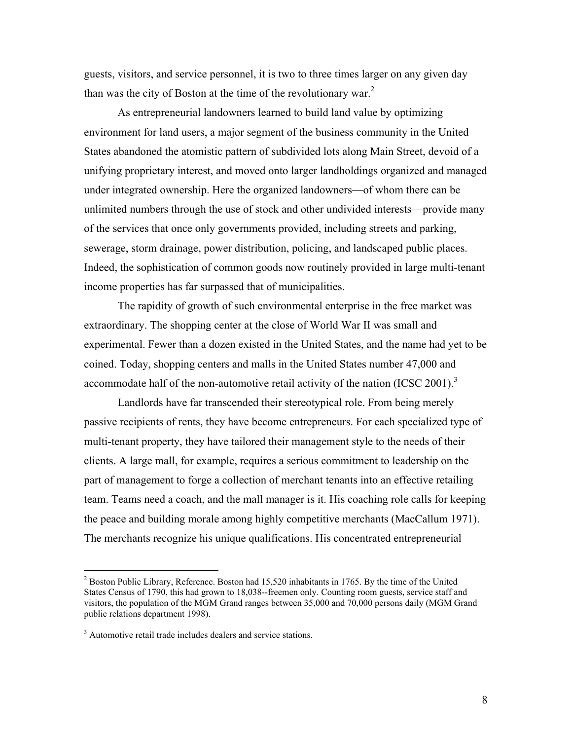guests, visitors, and service personnel, it is two to three times larger on any given day than was the city of Boston at the time of the revolutionary war.<sup>2</sup>

As entrepreneurial landowners learned to build land value by optimizing environment for land users, a major segment of the business community in the United States abandoned the atomistic pattern of subdivided lots along Main Street, devoid of a unifying proprietary interest, and moved onto larger landholdings organized and managed under integrated ownership. Here the organized landowners—of whom there can be unlimited numbers through the use of stock and other undivided interests—provide many of the services that once only governments provided, including streets and parking, sewerage, storm drainage, power distribution, policing, and landscaped public places. Indeed, the sophistication of common goods now routinely provided in large multi-tenant income properties has far surpassed that of municipalities.

The rapidity of growth of such environmental enterprise in the free market was extraordinary. The shopping center at the close of World War II was small and experimental. Fewer than a dozen existed in the United States, and the name had yet to be coined. Today, shopping centers and malls in the United States number 47,000 and accommodate half of the non-automotive retail activity of the nation (ICSC 2001).<sup>3</sup>

Landlords have far transcended their stereotypical role. From being merely passive recipients of rents, they have become entrepreneurs. For each specialized type of multi-tenant property, they have tailored their management style to the needs of their clients. A large mall, for example, requires a serious commitment to leadership on the part of management to forge a collection of merchant tenants into an effective retailing team. Teams need a coach, and the mall manager is it. His coaching role calls for keeping the peace and building morale among highly competitive merchants (MacCallum 1971). The merchants recognize his unique qualifications. His concentrated entrepreneurial

 $\frac{1}{2}$  $2^2$  Boston Public Library, Reference. Boston had 15,520 inhabitants in 1765. By the time of the United States Census of 1790, this had grown to 18,038--freemen only. Counting room guests, service staff and visitors, the population of the MGM Grand ranges between 35,000 and 70,000 persons daily (MGM Grand public relations department 1998).

<sup>&</sup>lt;sup>3</sup> Automotive retail trade includes dealers and service stations.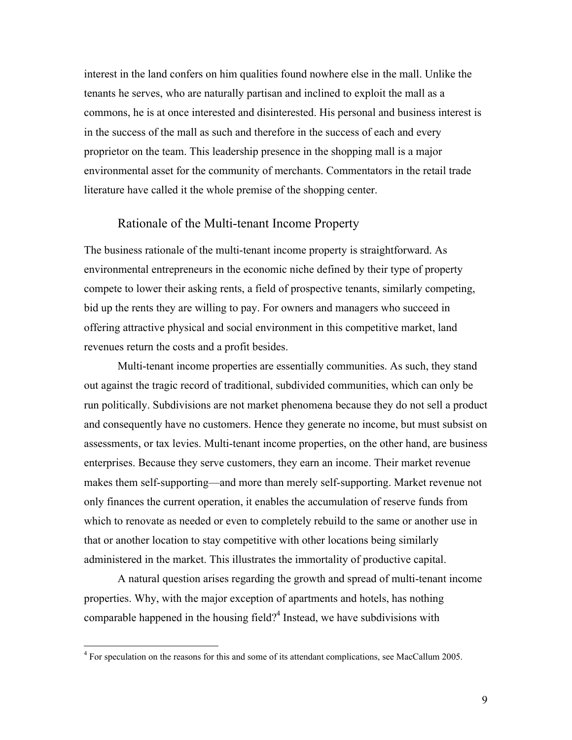interest in the land confers on him qualities found nowhere else in the mall. Unlike the tenants he serves, who are naturally partisan and inclined to exploit the mall as a commons, he is at once interested and disinterested. His personal and business interest is in the success of the mall as such and therefore in the success of each and every proprietor on the team. This leadership presence in the shopping mall is a major environmental asset for the community of merchants. Commentators in the retail trade literature have called it the whole premise of the shopping center.

#### Rationale of the Multi-tenant Income Property

The business rationale of the multi-tenant income property is straightforward. As environmental entrepreneurs in the economic niche defined by their type of property compete to lower their asking rents, a field of prospective tenants, similarly competing, bid up the rents they are willing to pay. For owners and managers who succeed in offering attractive physical and social environment in this competitive market, land revenues return the costs and a profit besides.

Multi-tenant income properties are essentially communities. As such, they stand out against the tragic record of traditional, subdivided communities, which can only be run politically. Subdivisions are not market phenomena because they do not sell a product and consequently have no customers. Hence they generate no income, but must subsist on assessments, or tax levies. Multi-tenant income properties, on the other hand, are business enterprises. Because they serve customers, they earn an income. Their market revenue makes them self-supporting—and more than merely self-supporting. Market revenue not only finances the current operation, it enables the accumulation of reserve funds from which to renovate as needed or even to completely rebuild to the same or another use in that or another location to stay competitive with other locations being similarly administered in the market. This illustrates the immortality of productive capital.

A natural question arises regarding the growth and spread of multi-tenant income properties. Why, with the major exception of apartments and hotels, has nothing comparable happened in the housing field?<sup>4</sup> Instead, we have subdivisions with

 $\frac{1}{4}$ <sup>4</sup> For speculation on the reasons for this and some of its attendant complications, see MacCallum 2005.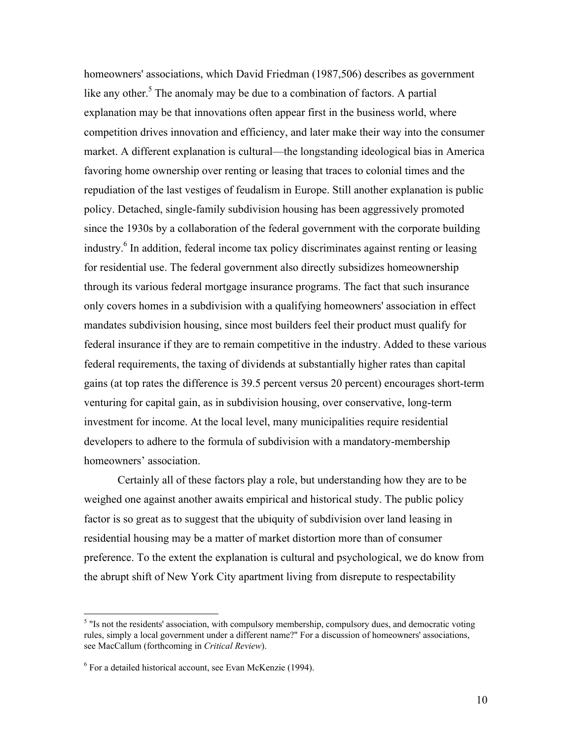homeowners' associations, which David Friedman (1987,506) describes as government like any other.<sup>5</sup> The anomaly may be due to a combination of factors. A partial explanation may be that innovations often appear first in the business world, where competition drives innovation and efficiency, and later make their way into the consumer market. A different explanation is cultural—the longstanding ideological bias in America favoring home ownership over renting or leasing that traces to colonial times and the repudiation of the last vestiges of feudalism in Europe. Still another explanation is public policy. Detached, single-family subdivision housing has been aggressively promoted since the 1930s by a collaboration of the federal government with the corporate building industry.<sup>6</sup> In addition, federal income tax policy discriminates against renting or leasing for residential use. The federal government also directly subsidizes homeownership through its various federal mortgage insurance programs. The fact that such insurance only covers homes in a subdivision with a qualifying homeowners' association in effect mandates subdivision housing, since most builders feel their product must qualify for federal insurance if they are to remain competitive in the industry. Added to these various federal requirements, the taxing of dividends at substantially higher rates than capital gains (at top rates the difference is 39.5 percent versus 20 percent) encourages short-term venturing for capital gain, as in subdivision housing, over conservative, long-term investment for income. At the local level, many municipalities require residential developers to adhere to the formula of subdivision with a mandatory-membership homeowners' association.

Certainly all of these factors play a role, but understanding how they are to be weighed one against another awaits empirical and historical study. The public policy factor is so great as to suggest that the ubiquity of subdivision over land leasing in residential housing may be a matter of market distortion more than of consumer preference. To the extent the explanation is cultural and psychological, we do know from the abrupt shift of New York City apartment living from disrepute to respectability

 <sup>5</sup> <sup>5</sup> "Is not the residents' association, with compulsory membership, compulsory dues, and democratic voting rules, simply a local government under a different name?" For a discussion of homeowners' associations, see MacCallum (forthcoming in *Critical Review*).

<sup>&</sup>lt;sup>6</sup> For a detailed historical account, see Evan McKenzie (1994).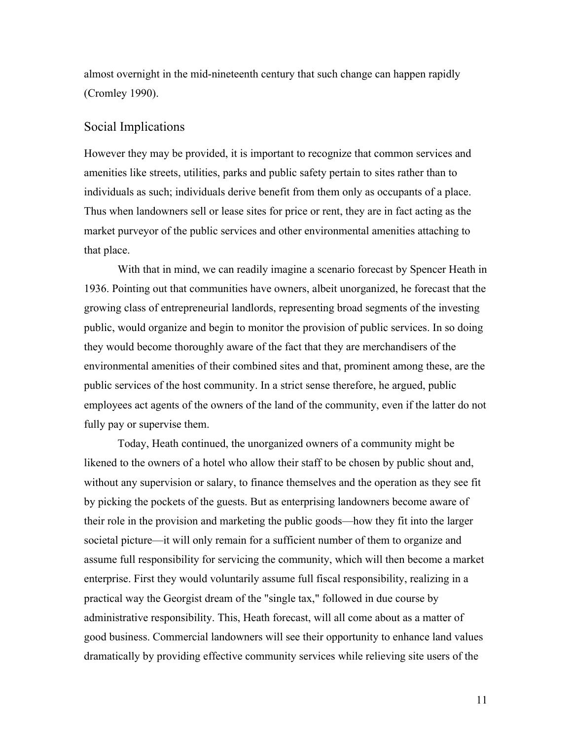almost overnight in the mid-nineteenth century that such change can happen rapidly (Cromley 1990).

#### Social Implications

However they may be provided, it is important to recognize that common services and amenities like streets, utilities, parks and public safety pertain to sites rather than to individuals as such; individuals derive benefit from them only as occupants of a place. Thus when landowners sell or lease sites for price or rent, they are in fact acting as the market purveyor of the public services and other environmental amenities attaching to that place.

With that in mind, we can readily imagine a scenario forecast by Spencer Heath in 1936. Pointing out that communities have owners, albeit unorganized, he forecast that the growing class of entrepreneurial landlords, representing broad segments of the investing public, would organize and begin to monitor the provision of public services. In so doing they would become thoroughly aware of the fact that they are merchandisers of the environmental amenities of their combined sites and that, prominent among these, are the public services of the host community. In a strict sense therefore, he argued, public employees act agents of the owners of the land of the community, even if the latter do not fully pay or supervise them.

Today, Heath continued, the unorganized owners of a community might be likened to the owners of a hotel who allow their staff to be chosen by public shout and, without any supervision or salary, to finance themselves and the operation as they see fit by picking the pockets of the guests. But as enterprising landowners become aware of their role in the provision and marketing the public goods—how they fit into the larger societal picture—it will only remain for a sufficient number of them to organize and assume full responsibility for servicing the community, which will then become a market enterprise. First they would voluntarily assume full fiscal responsibility, realizing in a practical way the Georgist dream of the "single tax," followed in due course by administrative responsibility. This, Heath forecast, will all come about as a matter of good business. Commercial landowners will see their opportunity to enhance land values dramatically by providing effective community services while relieving site users of the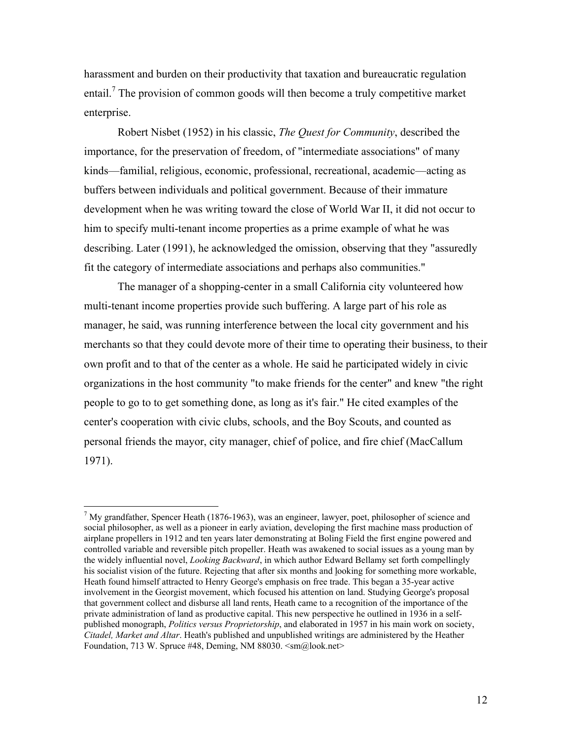harassment and burden on their productivity that taxation and bureaucratic regulation entail.<sup>7</sup> The provision of common goods will then become a truly competitive market enterprise.

Robert Nisbet (1952) in his classic, *The Quest for Community*, described the importance, for the preservation of freedom, of "intermediate associations" of many kinds—familial, religious, economic, professional, recreational, academic—acting as buffers between individuals and political government. Because of their immature development when he was writing toward the close of World War II, it did not occur to him to specify multi-tenant income properties as a prime example of what he was describing. Later (1991), he acknowledged the omission, observing that they "assuredly fit the category of intermediate associations and perhaps also communities."

The manager of a shopping-center in a small California city volunteered how multi-tenant income properties provide such buffering. A large part of his role as manager, he said, was running interference between the local city government and his merchants so that they could devote more of their time to operating their business, to their own profit and to that of the center as a whole. He said he participated widely in civic organizations in the host community "to make friends for the center" and knew "the right people to go to to get something done, as long as it's fair." He cited examples of the center's cooperation with civic clubs, schools, and the Boy Scouts, and counted as personal friends the mayor, city manager, chief of police, and fire chief (MacCallum 1971).

<sup>-&</sup>lt;br>7  $^7$  My grandfather, Spencer Heath (1876-1963), was an engineer, lawyer, poet, philosopher of science and social philosopher, as well as a pioneer in early aviation, developing the first machine mass production of airplane propellers in 1912 and ten years later demonstrating at Boling Field the first engine powered and controlled variable and reversible pitch propeller. Heath was awakened to social issues as a young man by the widely influential novel, *Looking Backward*, in which author Edward Bellamy set forth compellingly his socialist vision of the future. Rejecting that after six months and looking for something more workable, Heath found himself attracted to Henry George's emphasis on free trade. This began a 35-year active involvement in the Georgist movement, which focused his attention on land. Studying George's proposal that government collect and disburse all land rents, Heath came to a recognition of the importance of the private administration of land as productive capital. This new perspective he outlined in 1936 in a selfpublished monograph, *Politics versus Proprietorship*, and elaborated in 1957 in his main work on society, *Citadel, Market and Altar*. Heath's published and unpublished writings are administered by the Heather Foundation, 713 W. Spruce #48, Deming, NM 88030.  $\langle \text{sm@look.net} \rangle$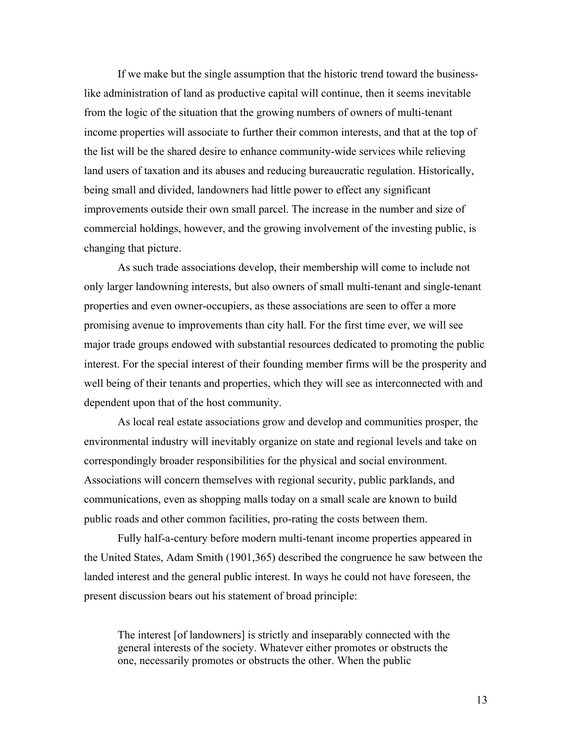If we make but the single assumption that the historic trend toward the businesslike administration of land as productive capital will continue, then it seems inevitable from the logic of the situation that the growing numbers of owners of multi-tenant income properties will associate to further their common interests, and that at the top of the list will be the shared desire to enhance community-wide services while relieving land users of taxation and its abuses and reducing bureaucratic regulation. Historically, being small and divided, landowners had little power to effect any significant improvements outside their own small parcel. The increase in the number and size of commercial holdings, however, and the growing involvement of the investing public, is changing that picture.

As such trade associations develop, their membership will come to include not only larger landowning interests, but also owners of small multi-tenant and single-tenant properties and even owner-occupiers, as these associations are seen to offer a more promising avenue to improvements than city hall. For the first time ever, we will see major trade groups endowed with substantial resources dedicated to promoting the public interest. For the special interest of their founding member firms will be the prosperity and well being of their tenants and properties, which they will see as interconnected with and dependent upon that of the host community.

As local real estate associations grow and develop and communities prosper, the environmental industry will inevitably organize on state and regional levels and take on correspondingly broader responsibilities for the physical and social environment. Associations will concern themselves with regional security, public parklands, and communications, even as shopping malls today on a small scale are known to build public roads and other common facilities, pro-rating the costs between them.

Fully half-a-century before modern multi-tenant income properties appeared in the United States, Adam Smith (1901,365) described the congruence he saw between the landed interest and the general public interest. In ways he could not have foreseen, the present discussion bears out his statement of broad principle:

The interest [of landowners] is strictly and inseparably connected with the general interests of the society. Whatever either promotes or obstructs the one, necessarily promotes or obstructs the other. When the public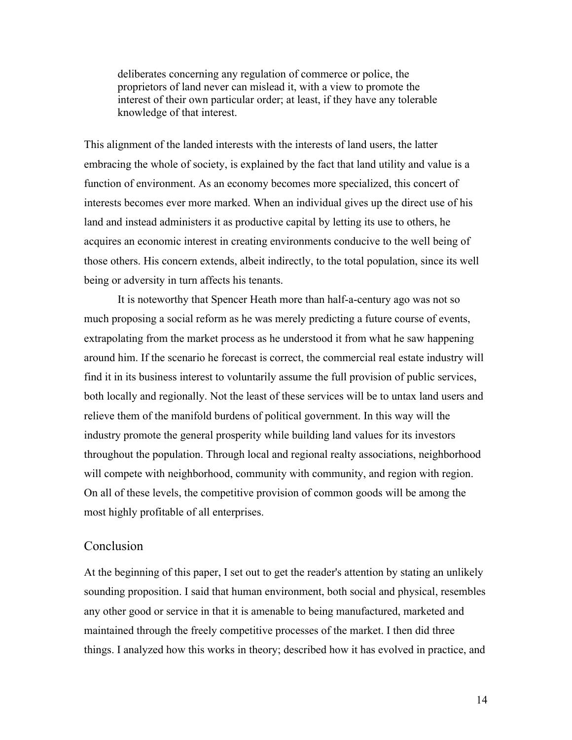deliberates concerning any regulation of commerce or police, the proprietors of land never can mislead it, with a view to promote the interest of their own particular order; at least, if they have any tolerable knowledge of that interest.

This alignment of the landed interests with the interests of land users, the latter embracing the whole of society, is explained by the fact that land utility and value is a function of environment. As an economy becomes more specialized, this concert of interests becomes ever more marked. When an individual gives up the direct use of his land and instead administers it as productive capital by letting its use to others, he acquires an economic interest in creating environments conducive to the well being of those others. His concern extends, albeit indirectly, to the total population, since its well being or adversity in turn affects his tenants.

It is noteworthy that Spencer Heath more than half-a-century ago was not so much proposing a social reform as he was merely predicting a future course of events, extrapolating from the market process as he understood it from what he saw happening around him. If the scenario he forecast is correct, the commercial real estate industry will find it in its business interest to voluntarily assume the full provision of public services, both locally and regionally. Not the least of these services will be to untax land users and relieve them of the manifold burdens of political government. In this way will the industry promote the general prosperity while building land values for its investors throughout the population. Through local and regional realty associations, neighborhood will compete with neighborhood, community with community, and region with region. On all of these levels, the competitive provision of common goods will be among the most highly profitable of all enterprises.

#### Conclusion

At the beginning of this paper, I set out to get the reader's attention by stating an unlikely sounding proposition. I said that human environment, both social and physical, resembles any other good or service in that it is amenable to being manufactured, marketed and maintained through the freely competitive processes of the market. I then did three things. I analyzed how this works in theory; described how it has evolved in practice, and

14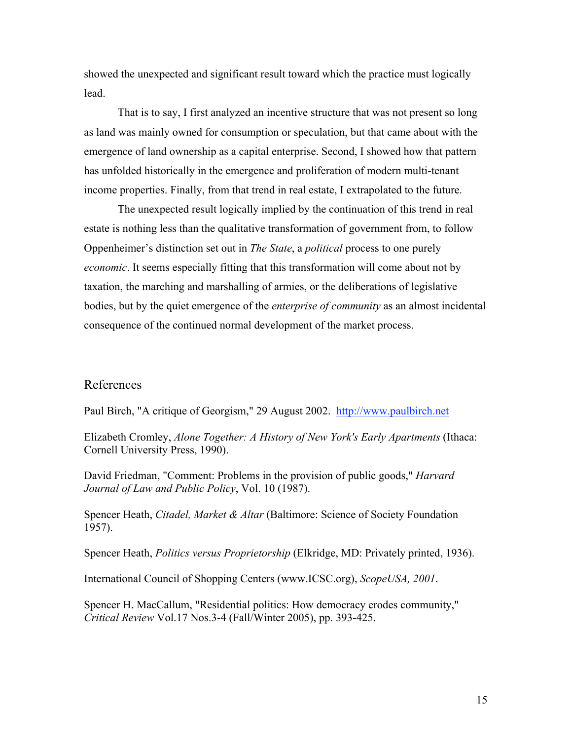showed the unexpected and significant result toward which the practice must logically lead.

That is to say, I first analyzed an incentive structure that was not present so long as land was mainly owned for consumption or speculation, but that came about with the emergence of land ownership as a capital enterprise. Second, I showed how that pattern has unfolded historically in the emergence and proliferation of modern multi-tenant income properties. Finally, from that trend in real estate, I extrapolated to the future.

The unexpected result logically implied by the continuation of this trend in real estate is nothing less than the qualitative transformation of government from, to follow Oppenheimer's distinction set out in *The State*, a *political* process to one purely *economic*. It seems especially fitting that this transformation will come about not by taxation, the marching and marshalling of armies, or the deliberations of legislative bodies, but by the quiet emergence of the *enterprise of community* as an almost incidental consequence of the continued normal development of the market process.

#### References

Paul Birch, "A critique of Georgism," 29 August 2002. http://www.paulbirch.net

Elizabeth Cromley, *Alone Together: A History of New York's Early Apartments* (Ithaca: Cornell University Press, 1990).

David Friedman, "Comment: Problems in the provision of public goods," *Harvard Journal of Law and Public Policy*, Vol. 10 (1987).

Spencer Heath, *Citadel, Market & Altar* (Baltimore: Science of Society Foundation 1957).

Spencer Heath, *Politics versus Proprietorship* (Elkridge, MD: Privately printed, 1936).

International Council of Shopping Centers (www.ICSC.org), *ScopeUSA, 2001*.

Spencer H. MacCallum, "Residential politics: How democracy erodes community," *Critical Review* Vol.17 Nos.3-4 (Fall/Winter 2005), pp. 393-425.